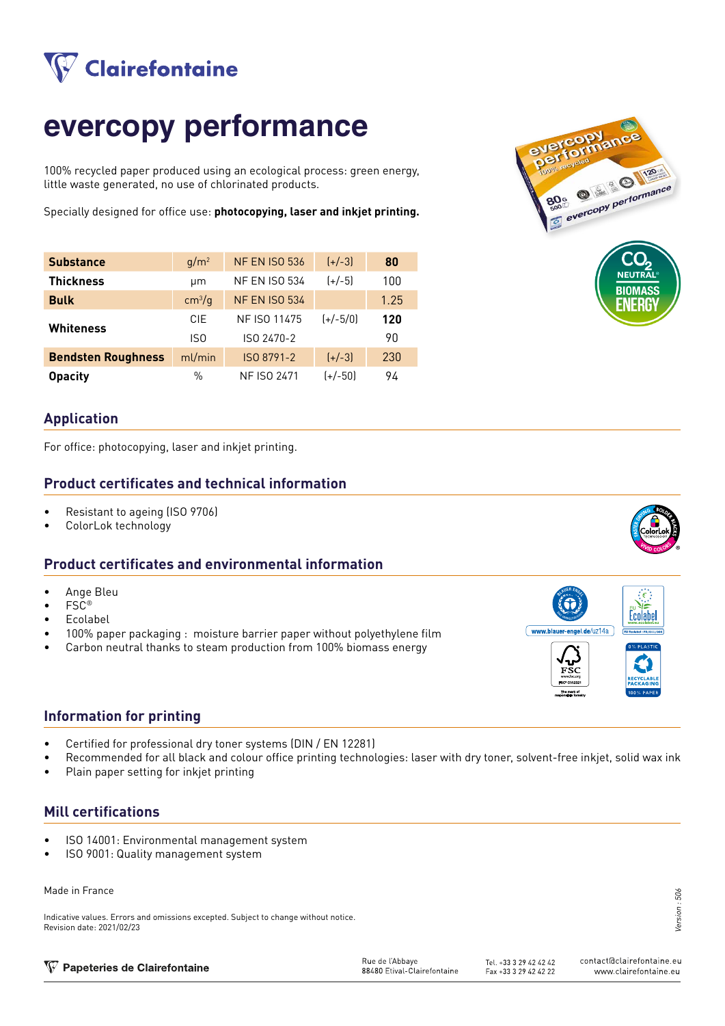

## **evercopy performance**

100% recycled paper produced using an ecological process: green energy, little waste generated, no use of chlorinated products.

Specially designed for office use: **photocopying, laser and inkjet printing.**

| <b>Substance</b>          | $q/m^2$            | <b>NF EN ISO 536</b> | $[+/3]$    | 80   |
|---------------------------|--------------------|----------------------|------------|------|
| <b>Thickness</b>          | μm                 | <b>NF EN ISO 534</b> | $(+/-5)$   | 100  |
| <b>Bulk</b>               | cm <sup>3</sup> /g | <b>NF EN ISO 534</b> |            | 1.25 |
| Whiteness                 | <b>CIE</b>         | NF ISO 11475         | $(+/-5/0)$ | 120  |
|                           | IS <sub>0</sub>    | ISO 2470-2           |            | 90   |
| <b>Bendsten Roughness</b> | ml/min             | ISO 8791-2           | $[+/3]$    | 230  |
| <b>Opacity</b>            | %                  | <b>NF ISO 2471</b>   | $(+/-50)$  | 94   |



### **Application**

For office: photocopying, laser and inkjet printing.

### **Product certificates and technical information**

- Resistant to ageing (ISO 9706)
- ColorLok technology

### **Product certificates and environmental information**

- Ange Bleu
- FSC®
- Ecolabel
- 100% paper packaging : moisture barrier paper without polyethylene film
- Carbon neutral thanks to steam production from 100% biomass energy



- Certified for professional dry toner systems (DIN / EN 12281)
- Recommended for all black and colour office printing technologies: laser with dry toner, solvent-free inkjet, solid wax ink
- Plain paper setting for inkjet printing

### **Mill certifications**

- ISO 14001: Environmental management system
- ISO 9001: Quality management system

### Made in France

Indicative values. Errors and omissions excepted. Subject to change without notice. Revision date: 2021/02/23

| ion |  |  |                              |  |
|-----|--|--|------------------------------|--|
|     |  |  | NG BOIDA<br>$\sum_{i=1}^{n}$ |  |



# Ecolabe www.blauer-engel.de/uz14a

Version : 506 506 Version:

| W Papeteries de Clairefontaine | Rue de l'Abbave             | Tel. +33 3 29 42 42 42 | contact@clairefontaine.eu |
|--------------------------------|-----------------------------|------------------------|---------------------------|
|                                | 88480 Etival-Clairefontaine | Fax +33 3 29 42 42 22  | www.clairefontaine.eu     |